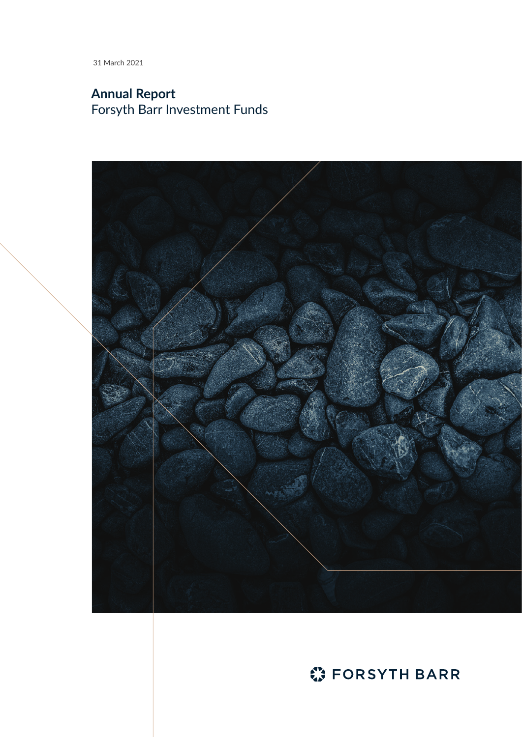31 March 2021

# **Annual Report** Forsyth Barr Investment Funds



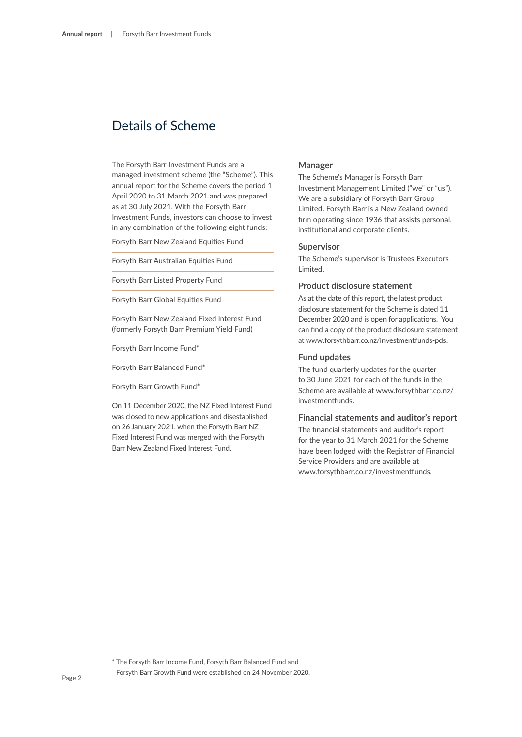## Details of Scheme

The Forsyth Barr Investment Funds are a managed investment scheme (the "Scheme"). This annual report for the Scheme covers the period 1 April 2020 to 31 March 2021 and was prepared as at 30 July 2021. With the Forsyth Barr Investment Funds, investors can choose to invest in any combination of the following eight funds:

Forsyth Barr New Zealand Equities Fund

Forsyth Barr Australian Equities Fund

Forsyth Barr Listed Property Fund

Forsyth Barr Global Equities Fund

Forsyth Barr New Zealand Fixed Interest Fund (formerly Forsyth Barr Premium Yield Fund)

Forsyth Barr Income Fund\*

Forsyth Barr Balanced Fund\*

Forsyth Barr Growth Fund\*

On 11 December 2020, the NZ Fixed Interest Fund was closed to new applications and disestablished on 26 January 2021, when the Forsyth Barr NZ Fixed Interest Fund was merged with the Forsyth Barr New Zealand Fixed Interest Fund.

## **Manager**

The Scheme's Manager is Forsyth Barr Investment Management Limited ("we" or "us"). We are a subsidiary of Forsyth Barr Group Limited. Forsyth Barr is a New Zealand owned firm operating since 1936 that assists personal, institutional and corporate clients.

## **Supervisor**

The Scheme's supervisor is Trustees Executors Limited.

## **Product disclosure statement**

As at the date of this report, the latest product disclosure statement for the Scheme is dated 11 December 2020 and is open for applications. You can find a copy of the product disclosure statement at www.forsythbarr.co.nz/investmentfunds-pds.

## **Fund updates**

The fund quarterly updates for the quarter to 30 June 2021 for each of the funds in the Scheme are available at www.forsythbarr.co.nz/ investmentfunds.

## **Financial statements and auditor's report**

The financial statements and auditor's report for the year to 31 March 2021 for the Scheme have been lodged with the Registrar of Financial Service Providers and are available at www.forsythbarr.co.nz/investmentfunds.

<sup>\*</sup> The Forsyth Barr Income Fund, Forsyth Barr Balanced Fund and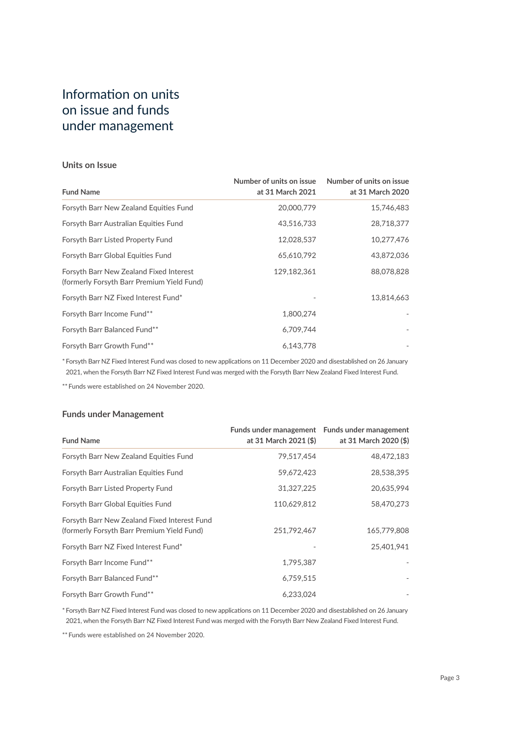# Information on units on issue and funds under management

## **Units on Issue**

| <b>Fund Name</b>                                                                      | Number of units on issue<br>at 31 March 2021 | Number of units on issue<br>at 31 March 2020 |
|---------------------------------------------------------------------------------------|----------------------------------------------|----------------------------------------------|
| Forsyth Barr New Zealand Equities Fund                                                | 20,000,779                                   | 15,746,483                                   |
| Forsyth Barr Australian Equities Fund                                                 | 43,516,733                                   | 28,718,377                                   |
| Forsyth Barr Listed Property Fund                                                     | 12,028,537                                   | 10,277,476                                   |
| Forsyth Barr Global Equities Fund                                                     | 65,610,792                                   | 43,872,036                                   |
| Forsyth Barr New Zealand Fixed Interest<br>(formerly Forsyth Barr Premium Yield Fund) | 129,182,361                                  | 88,078,828                                   |
| Forsyth Barr NZ Fixed Interest Fund*                                                  |                                              | 13,814,663                                   |
| Forsyth Barr Income Fund**                                                            | 1.800.274                                    |                                              |
| Forsyth Barr Balanced Fund**                                                          | 6.709.744                                    |                                              |
| Forsyth Barr Growth Fund**                                                            | 6,143,778                                    |                                              |

\* Forsyth Barr NZ Fixed Interest Fund was closed to new applications on 11 December 2020 and disestablished on 26 January 2021, when the Forsyth Barr NZ Fixed Interest Fund was merged with the Forsyth Barr New Zealand Fixed Interest Fund.

\*\* Funds were established on 24 November 2020.

## **Funds under Management**

| <b>Fund Name</b>                                                                           | at 31 March 2021 (\$) | Funds under management Funds under management<br>at 31 March 2020 (\$) |
|--------------------------------------------------------------------------------------------|-----------------------|------------------------------------------------------------------------|
| Forsyth Barr New Zealand Equities Fund                                                     | 79.517.454            | 48,472,183                                                             |
| Forsyth Barr Australian Equities Fund                                                      | 59,672,423            | 28,538,395                                                             |
| Forsyth Barr Listed Property Fund                                                          | 31,327,225            | 20,635,994                                                             |
| Forsyth Barr Global Equities Fund                                                          | 110,629,812           | 58,470,273                                                             |
| Forsyth Barr New Zealand Fixed Interest Fund<br>(formerly Forsyth Barr Premium Yield Fund) | 251.792.467           | 165,779,808                                                            |
| Forsyth Barr NZ Fixed Interest Fund*                                                       |                       | 25,401,941                                                             |
| Forsyth Barr Income Fund**                                                                 | 1,795,387             |                                                                        |
| Forsyth Barr Balanced Fund**                                                               | 6,759,515             |                                                                        |
| Forsyth Barr Growth Fund**                                                                 | 6,233,024             |                                                                        |

\* Forsyth Barr NZ Fixed Interest Fund was closed to new applications on 11 December 2020 and disestablished on 26 January 2021, when the Forsyth Barr NZ Fixed Interest Fund was merged with the Forsyth Barr New Zealand Fixed Interest Fund.

\*\* Funds were established on 24 November 2020.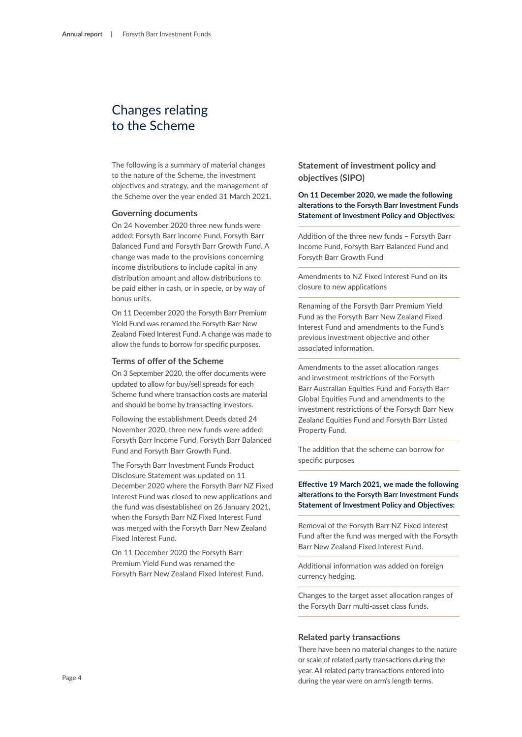# Changes relating to the Scheme

The following is a summary of material changes to the nature of the Scheme, the investment objectives and strategy, and the management of the Scheme over the year ended 31 March 2021.

#### **Governing documents**

On 24 November 2020 three new funds were added: Forsyth Barr Income Fund, Forsyth Barr Balanced Fund and Forsyth Barr Growth Fund. A change was made to the provisions concerning income distributions to include capital in any distribution amount and allow distributions to be paid either in cash, or in specie, or by way of bonus units.

On 11 December 2020 the Forsyth Barr Premium Yield Fund was renamed the Forsyth Barr New Zealand Fixed Interest Fund. A change was made to allow the funds to borrow for specific purposes.

#### **Terms of offer of the Scheme**

On 3 September 2020, the offer documents were updated to allow for buy/sell spreads for each Scheme fund where transaction costs are material and should be borne by transacting investors.

Following the establishment Deeds dated 24 November 2020, three new funds were added: Forsyth Barr Income Fund, Forsyth Barr Balanced Fund and Forsyth Barr Growth Fund.

The Forsyth Barr Investment Funds Product Disclosure Statement was updated on 11 December 2020 where the Forsyth Barr NZ Fixed Interest Fund was closed to new applications and the fund was disestablished on 26 January 2021, when the Forsyth Barr NZ Fixed Interest Fund was merged with the Forsyth Barr New Zealand Fixed Interest Fund.

On 11 December 2020 the Forsyth Barr Premium Yield Fund was renamed the Forsyth Barr New Zealand Fixed Interest Fund. **Statement of investment policy and objectives (SIPO)**

## **On 11 December 2020, we made the following alterations to the Forsyth Barr Investment Funds Statement of Investment Policy and Objectives:**

Addition of the three new funds – Forsyth Barr Income Fund, Forsyth Barr Balanced Fund and Forsyth Barr Growth Fund

Amendments to NZ Fixed Interest Fund on its closure to new applications

Renaming of the Forsyth Barr Premium Yield Fund as the Forsyth Barr New Zealand Fixed Interest Fund and amendments to the Fund's previous investment objective and other associated information.

Amendments to the asset allocation ranges and investment restrictions of the Forsyth Barr Australian Equities Fund and Forsyth Barr Global Equities Fund and amendments to the investment restrictions of the Forsyth Barr New Zealand Equities Fund and Forsyth Barr Listed Property Fund.

The addition that the scheme can borrow for specific purposes

## **Effective 19 March 2021, we made the following alterations to the Forsyth Barr Investment Funds Statement of Investment Policy and Objectives:**

Removal of the Forsyth Barr NZ Fixed Interest Fund after the fund was merged with the Forsyth Barr New Zealand Fixed Interest Fund.

Additional information was added on foreign currency hedging.

Changes to the target asset allocation ranges of the Forsyth Barr multi-asset class funds.

## **Related party transactions**

There have been no material changes to the nature or scale of related party transactions during the year. All related party transactions entered into during the year were on arm's length terms.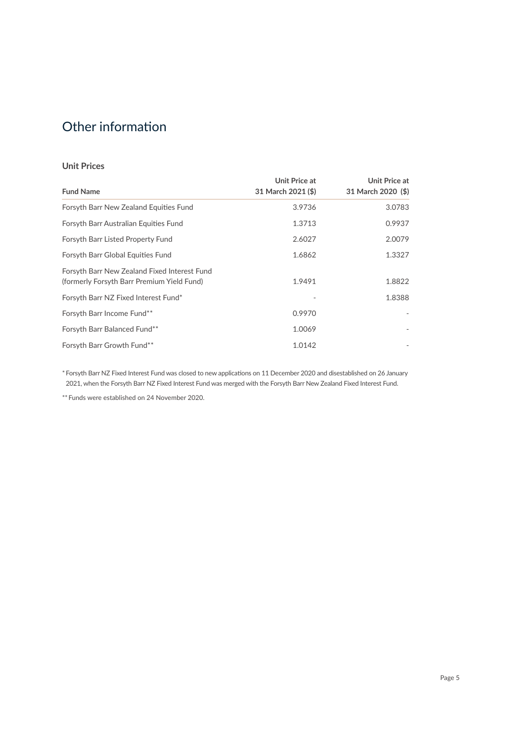# Other information

## **Unit Prices**

| <b>Fund Name</b>                                                                           | Unit Price at<br>31 March 2021 (\$) | Unit Price at<br>31 March 2020 (\$) |
|--------------------------------------------------------------------------------------------|-------------------------------------|-------------------------------------|
| Forsyth Barr New Zealand Equities Fund                                                     | 3.9736                              | 3.0783                              |
| Forsyth Barr Australian Equities Fund                                                      | 1.3713                              | 0.9937                              |
| Forsyth Barr Listed Property Fund                                                          | 2.6027                              | 2.0079                              |
| Forsyth Barr Global Equities Fund                                                          | 1.6862                              | 1.3327                              |
| Forsyth Barr New Zealand Fixed Interest Fund<br>(formerly Forsyth Barr Premium Yield Fund) | 1.9491                              | 1.8822                              |
| Forsyth Barr NZ Fixed Interest Fund*                                                       |                                     | 1.8388                              |
| Forsyth Barr Income Fund**                                                                 | 0.9970                              |                                     |
| Forsyth Barr Balanced Fund**                                                               | 1.0069                              |                                     |
| Forsyth Barr Growth Fund**                                                                 | 1.0142                              |                                     |

\* Forsyth Barr NZ Fixed Interest Fund was closed to new applications on 11 December 2020 and disestablished on 26 January 2021, when the Forsyth Barr NZ Fixed Interest Fund was merged with the Forsyth Barr New Zealand Fixed Interest Fund.

\*\* Funds were established on 24 November 2020.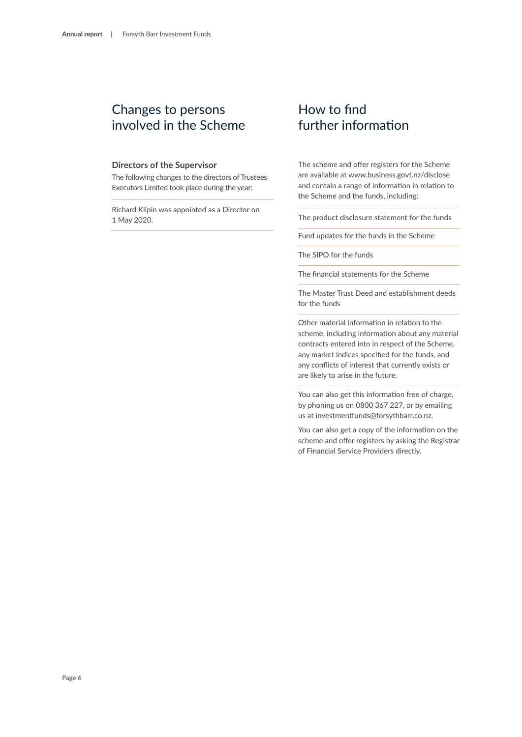## Changes to persons involved in the Scheme

### **Directors of the Supervisor**

The following changes to the directors of Trustees Executors Limited took place during the year:

Richard Klipin was appointed as a Director on 1 May 2020.

## How to find further information

The scheme and offer registers for the Scheme are available at www.business.govt.nz/disclose and contain a range of information in relation to the Scheme and the funds, including:

The product disclosure statement for the funds

Fund updates for the funds in the Scheme

The SIPO for the funds

The financial statements for the Scheme

The Master Trust Deed and establishment deeds for the funds

Other material information in relation to the scheme, including information about any material contracts entered into in respect of the Scheme, any market indices specified for the funds, and any conflicts of interest that currently exists or are likely to arise in the future.

You can also get this information free of charge, by phoning us on 0800 367 227, or by emailing us at investmentfunds@forsythbarr.co.nz.

You can also get a copy of the information on the scheme and offer registers by asking the Registrar of Financial Service Providers directly.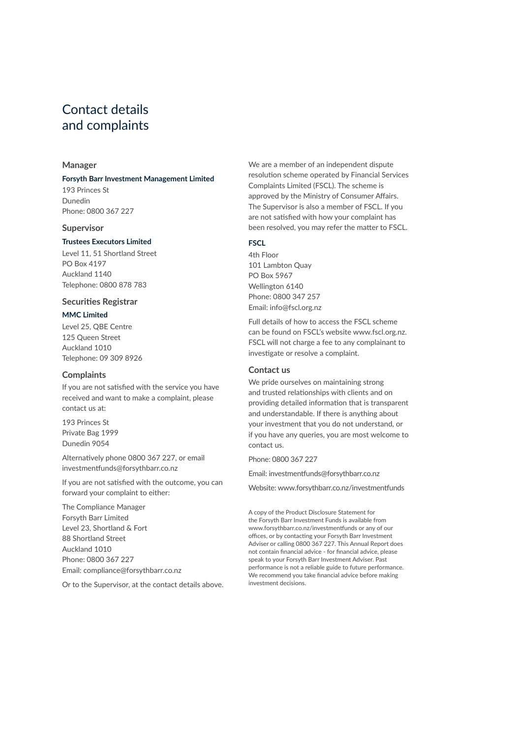# Contact details and complaints

## **Manager**

#### **Forsyth Barr Investment Management Limited**

193 Princes St Dunedin Phone: 0800 367 227

#### **Supervisor**

#### **Trustees Executors Limited**

Level 11, 51 Shortland Street PO Box 4197 Auckland 1140 Telephone: 0800 878 783

## **Securities Registrar**

### **MMC Limited**

Level 25, QBE Centre 125 Queen Street Auckland 1010 Telephone: 09 309 8926

## **Complaints**

If you are not satisfied with the service you have received and want to make a complaint, please contact us at:

193 Princes St Private Bag 1999 Dunedin 9054

Alternatively phone 0800 367 227, or email investmentfunds@forsythbarr.co.nz

If you are not satisfied with the outcome, you can forward your complaint to either:

The Compliance Manager Forsyth Barr Limited Level 23, Shortland & Fort 88 Shortland Street Auckland 1010 Phone: 0800 367 227 Email: compliance@forsythbarr.co.nz

Or to the Supervisor, at the contact details above.

We are a member of an independent dispute resolution scheme operated by Financial Services Complaints Limited (FSCL). The scheme is approved by the Ministry of Consumer Affairs. The Supervisor is also a member of FSCL. If you are not satisfied with how your complaint has been resolved, you may refer the matter to FSCL.

## **FSCL**

4th Floor 101 Lambton Quay PO Box 5967 Wellington 6140 Phone: 0800 347 257 Email: info@fscl.org.nz

Full details of how to access the FSCL scheme can be found on FSCL's website www.fscl.org.nz. FSCL will not charge a fee to any complainant to investigate or resolve a complaint.

## **Contact us**

We pride ourselves on maintaining strong and trusted relationships with clients and on providing detailed information that is transparent and understandable. If there is anything about your investment that you do not understand, or if you have any queries, you are most welcome to contact us.

Phone: 0800 367 227

Email: investmentfunds@forsythbarr.co.nz

Website: www.forsythbarr.co.nz/investmentfunds

A copy of the Product Disclosure Statement for the Forsyth Barr Investment Funds is available from www.forsythbarr.co.nz/investmentfunds or any of our offices, or by contacting your Forsyth Barr Investment Adviser or calling 0800 367 227. This Annual Report does not contain financial advice - for financial advice, please speak to your Forsyth Barr Investment Adviser. Past performance is not a reliable guide to future performance. We recommend you take financial advice before making investment decisions.